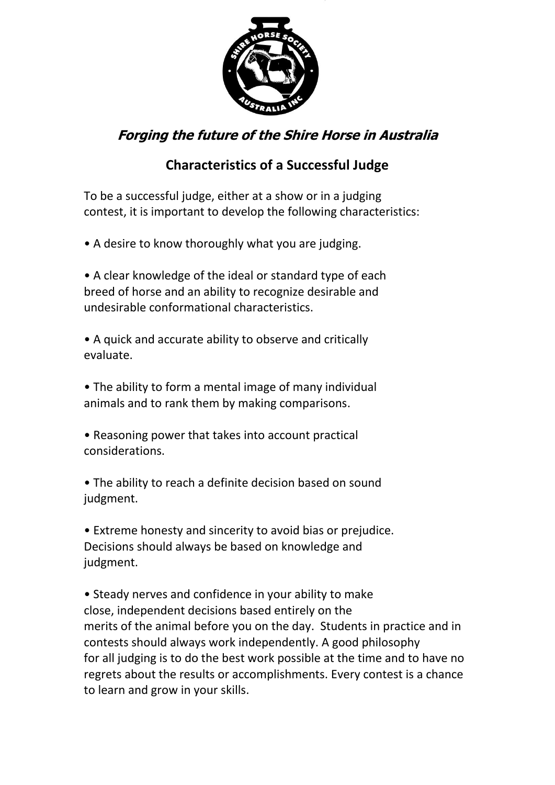

## **Forging the future of the Shire Horse in Australia**

## **Characteristics of a Successful Judge**

To be a successful judge, either at a show or in a judging contest, it is important to develop the following characteristics:

• A desire to know thoroughly what you are judging.

• A clear knowledge of the ideal or standard type of each breed of horse and an ability to recognize desirable and undesirable conformational characteristics.

• A quick and accurate ability to observe and critically evaluate.

• The ability to form a mental image of many individual animals and to rank them by making comparisons.

• Reasoning power that takes into account practical considerations.

• The ability to reach a definite decision based on sound judgment.

• Extreme honesty and sincerity to avoid bias or prejudice. Decisions should always be based on knowledge and judgment.

• Steady nerves and confidence in your ability to make close, independent decisions based entirely on the merits of the animal before you on the day. Students in practice and in contests should always work independently. A good philosophy for all judging is to do the best work possible at the time and to have no regrets about the results or accomplishments. Every contest is a chance to learn and grow in your skills.